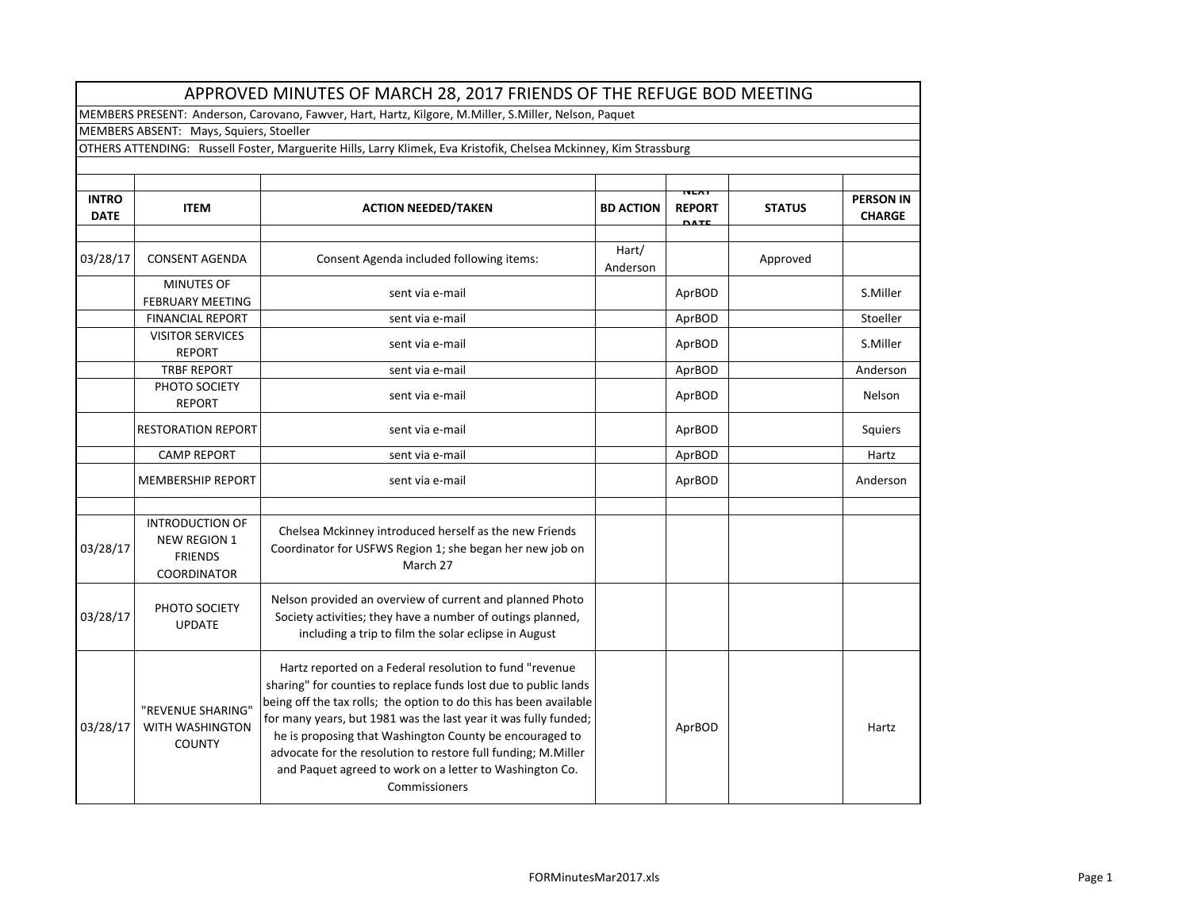| APPROVED MINUTES OF MARCH 28, 2017 FRIENDS OF THE REFUGE BOD MEETING                                              |                                                                                       |                                                                                                                                                                                                                                                                                                                                                                                                                                                                            |                   |                                             |               |                                   |  |  |
|-------------------------------------------------------------------------------------------------------------------|---------------------------------------------------------------------------------------|----------------------------------------------------------------------------------------------------------------------------------------------------------------------------------------------------------------------------------------------------------------------------------------------------------------------------------------------------------------------------------------------------------------------------------------------------------------------------|-------------------|---------------------------------------------|---------------|-----------------------------------|--|--|
| MEMBERS PRESENT: Anderson, Carovano, Fawver, Hart, Hartz, Kilgore, M.Miller, S.Miller, Nelson, Paquet             |                                                                                       |                                                                                                                                                                                                                                                                                                                                                                                                                                                                            |                   |                                             |               |                                   |  |  |
|                                                                                                                   | MEMBERS ABSENT: Mays, Squiers, Stoeller                                               |                                                                                                                                                                                                                                                                                                                                                                                                                                                                            |                   |                                             |               |                                   |  |  |
| OTHERS ATTENDING: Russell Foster, Marguerite Hills, Larry Klimek, Eva Kristofik, Chelsea Mckinney, Kim Strassburg |                                                                                       |                                                                                                                                                                                                                                                                                                                                                                                                                                                                            |                   |                                             |               |                                   |  |  |
|                                                                                                                   |                                                                                       |                                                                                                                                                                                                                                                                                                                                                                                                                                                                            |                   |                                             |               |                                   |  |  |
| <b>INTRO</b><br><b>DATE</b>                                                                                       | <b>ITEM</b>                                                                           | <b>ACTION NEEDED/TAKEN</b>                                                                                                                                                                                                                                                                                                                                                                                                                                                 | <b>BD ACTION</b>  | <b>NEAT</b><br><b>REPORT</b><br><b>DATE</b> | <b>STATUS</b> | <b>PERSON IN</b><br><b>CHARGE</b> |  |  |
| 03/28/17                                                                                                          | <b>CONSENT AGENDA</b>                                                                 | Consent Agenda included following items:                                                                                                                                                                                                                                                                                                                                                                                                                                   | Hart/<br>Anderson |                                             | Approved      |                                   |  |  |
|                                                                                                                   | <b>MINUTES OF</b><br><b>FEBRUARY MEETING</b>                                          | sent via e-mail                                                                                                                                                                                                                                                                                                                                                                                                                                                            |                   | AprBOD                                      |               | S.Miller                          |  |  |
|                                                                                                                   | <b>FINANCIAL REPORT</b>                                                               | sent via e-mail                                                                                                                                                                                                                                                                                                                                                                                                                                                            |                   | AprBOD                                      |               | Stoeller                          |  |  |
|                                                                                                                   | <b>VISITOR SERVICES</b><br><b>REPORT</b>                                              | sent via e-mail                                                                                                                                                                                                                                                                                                                                                                                                                                                            |                   | AprBOD                                      |               | S.Miller                          |  |  |
|                                                                                                                   | <b>TRBF REPORT</b>                                                                    | sent via e-mail                                                                                                                                                                                                                                                                                                                                                                                                                                                            |                   | AprBOD                                      |               | Anderson                          |  |  |
|                                                                                                                   | PHOTO SOCIETY<br><b>REPORT</b>                                                        | sent via e-mail                                                                                                                                                                                                                                                                                                                                                                                                                                                            |                   | AprBOD                                      |               | Nelson                            |  |  |
|                                                                                                                   | <b>RESTORATION REPORT</b>                                                             | sent via e-mail                                                                                                                                                                                                                                                                                                                                                                                                                                                            |                   | AprBOD                                      |               | Squiers                           |  |  |
|                                                                                                                   | <b>CAMP REPORT</b>                                                                    | sent via e-mail                                                                                                                                                                                                                                                                                                                                                                                                                                                            |                   | AprBOD                                      |               | Hartz                             |  |  |
|                                                                                                                   | <b>MEMBERSHIP REPORT</b>                                                              | sent via e-mail                                                                                                                                                                                                                                                                                                                                                                                                                                                            |                   | AprBOD                                      |               | Anderson                          |  |  |
| 03/28/17                                                                                                          | <b>INTRODUCTION OF</b><br><b>NEW REGION 1</b><br><b>FRIENDS</b><br><b>COORDINATOR</b> | Chelsea Mckinney introduced herself as the new Friends<br>Coordinator for USFWS Region 1; she began her new job on<br>March 27                                                                                                                                                                                                                                                                                                                                             |                   |                                             |               |                                   |  |  |
| 03/28/17                                                                                                          | PHOTO SOCIETY<br><b>UPDATE</b>                                                        | Nelson provided an overview of current and planned Photo<br>Society activities; they have a number of outings planned,<br>including a trip to film the solar eclipse in August                                                                                                                                                                                                                                                                                             |                   |                                             |               |                                   |  |  |
| 03/28/17                                                                                                          | "REVENUE SHARING"<br>WITH WASHINGTON<br><b>COUNTY</b>                                 | Hartz reported on a Federal resolution to fund "revenue<br>sharing" for counties to replace funds lost due to public lands<br>being off the tax rolls; the option to do this has been available<br>for many years, but 1981 was the last year it was fully funded;<br>he is proposing that Washington County be encouraged to<br>advocate for the resolution to restore full funding; M.Miller<br>and Paquet agreed to work on a letter to Washington Co.<br>Commissioners |                   | AprBOD                                      |               | Hartz                             |  |  |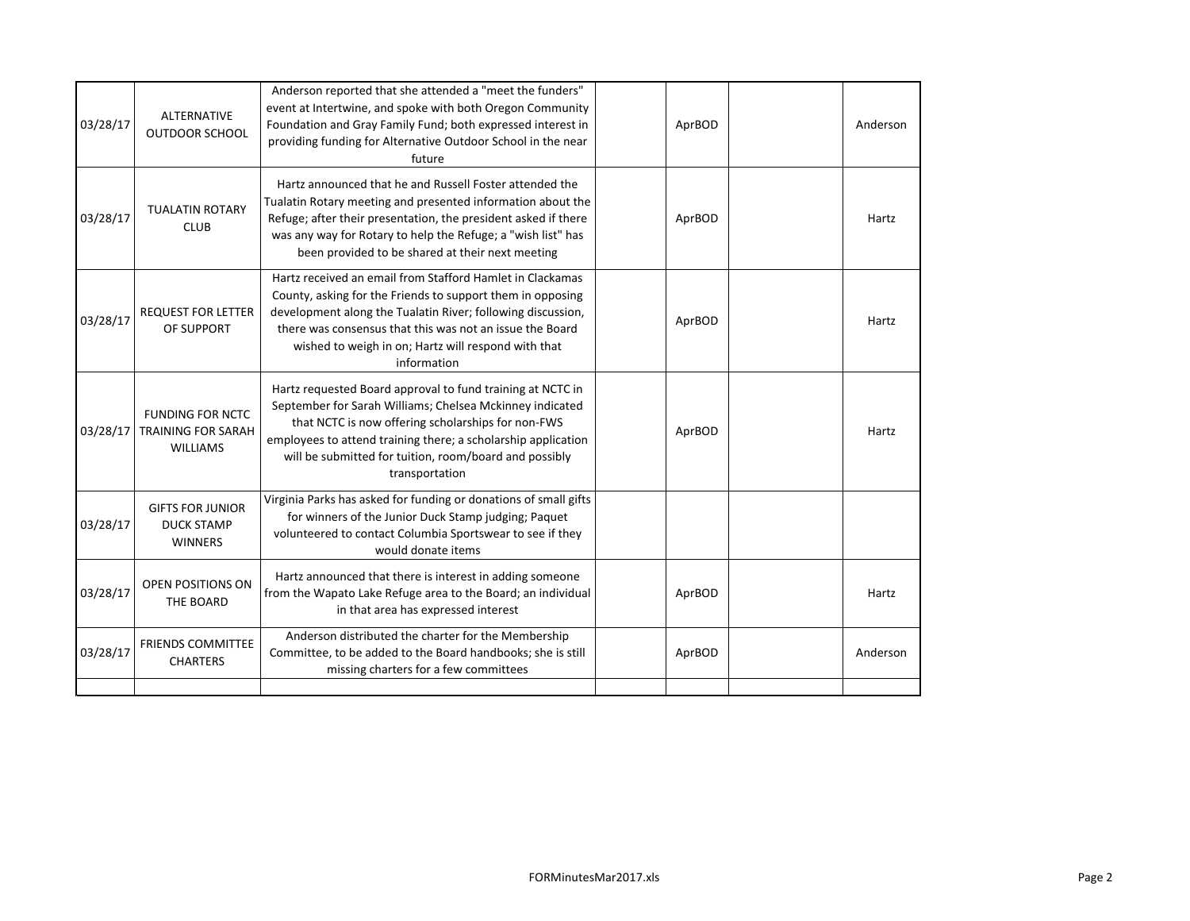| <b>ALTERNATIVE</b><br>03/28/17<br>OUTDOOR SCHOOL                           | Anderson reported that she attended a "meet the funders"<br>event at Intertwine, and spoke with both Oregon Community<br>Foundation and Gray Family Fund; both expressed interest in<br>providing funding for Alternative Outdoor School in the near<br>future                                                            | AprBOD | Anderson |
|----------------------------------------------------------------------------|---------------------------------------------------------------------------------------------------------------------------------------------------------------------------------------------------------------------------------------------------------------------------------------------------------------------------|--------|----------|
| <b>TUALATIN ROTARY</b><br><b>CLUB</b>                                      | Hartz announced that he and Russell Foster attended the<br>Tualatin Rotary meeting and presented information about the<br>Refuge; after their presentation, the president asked if there<br>was any way for Rotary to help the Refuge; a "wish list" has<br>been provided to be shared at their next meeting              | AprBOD | Hartz    |
| <b>REQUEST FOR LETTER</b><br>OF SUPPORT                                    | Hartz received an email from Stafford Hamlet in Clackamas<br>County, asking for the Friends to support them in opposing<br>development along the Tualatin River; following discussion,<br>there was consensus that this was not an issue the Board<br>wished to weigh in on; Hartz will respond with that<br>information  | AprBOD | Hartz    |
| <b>FUNDING FOR NCTC</b><br><b>TRAINING FOR SARAH</b><br><b>WILLIAMS</b>    | Hartz requested Board approval to fund training at NCTC in<br>September for Sarah Williams; Chelsea Mckinney indicated<br>that NCTC is now offering scholarships for non-FWS<br>employees to attend training there; a scholarship application<br>will be submitted for tuition, room/board and possibly<br>transportation | AprBOD | Hartz    |
| <b>GIFTS FOR JUNIOR</b><br>03/28/17<br><b>DUCK STAMP</b><br><b>WINNERS</b> | Virginia Parks has asked for funding or donations of small gifts<br>for winners of the Junior Duck Stamp judging; Paquet<br>volunteered to contact Columbia Sportswear to see if they<br>would donate items                                                                                                               |        |          |
| OPEN POSITIONS ON<br>03/28/17<br>THE BOARD                                 | Hartz announced that there is interest in adding someone<br>from the Wapato Lake Refuge area to the Board; an individual<br>in that area has expressed interest                                                                                                                                                           | AprBOD | Hartz    |
| <b>FRIENDS COMMITTEE</b><br><b>CHARTERS</b>                                | Anderson distributed the charter for the Membership<br>Committee, to be added to the Board handbooks; she is still<br>missing charters for a few committees                                                                                                                                                               | AprBOD | Anderson |
|                                                                            |                                                                                                                                                                                                                                                                                                                           |        |          |